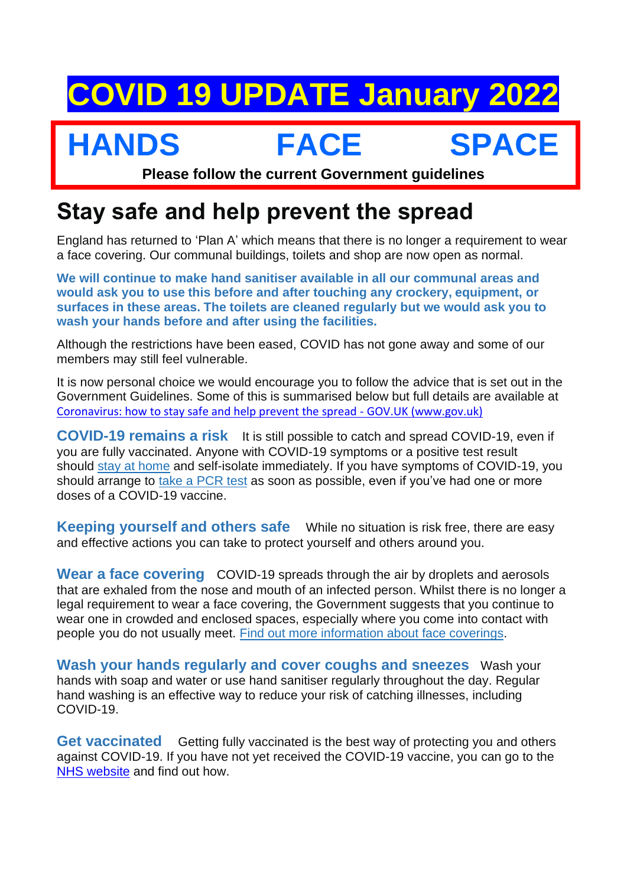## **COVID 19 UPDATE January 2022**

## **HANDS FACE SPACE**

**Please follow the current Government guidelines**

## **Stay safe and help prevent the spread**

England has returned to 'Plan A' which means that there is no longer a requirement to wear a face covering. Our communal buildings, toilets and shop are now open as normal.

**We will continue to make hand sanitiser available in all our communal areas and would ask you to use this before and after touching any crockery, equipment, or surfaces in these areas. The toilets are cleaned regularly but we would ask you to wash your hands before and after using the facilities.**

Although the restrictions have been eased, COVID has not gone away and some of our members may still feel vulnerable.

It is now personal choice we would encourage you to follow the advice that is set out in the Government Guidelines. Some of this is summarised below but full details are available at [Coronavirus: how to stay safe and help prevent the spread -](https://www.gov.uk/guidance/covid-19-coronavirus-restrictions-what-you-can-and-cannot-do) GOV.UK (www.gov.uk)

**COVID-19 remains a risk** It is still possible to catch and spread COVID-19, even if you are fully vaccinated. Anyone with COVID-19 symptoms or a positive test result should [stay at home](https://www.gov.uk/government/publications/covid-19-stay-at-home-guidance/stay-at-home-guidance-for-households-with-possible-coronavirus-covid-19-infection) and self-isolate immediately. If you have symptoms of COVID-19, you should arrange to [take a PCR test](https://www.gov.uk/get-coronavirus-test) as soon as possible, even if you've had one or more doses of a COVID-19 vaccine.

**Keeping yourself and others safe** While no situation is risk free, there are easy and effective actions you can take to protect yourself and others around you.

**Wear a face covering** COVID-19 spreads through the air by droplets and aerosols that are exhaled from the nose and mouth of an infected person. Whilst there is no longer a legal requirement to wear a face covering, the Government suggests that you continue to wear one in crowded and enclosed spaces, especially where you come into contact with people you do not usually meet. [Find out more information about face coverings.](https://www.gov.uk/government/publications/face-coverings-when-to-wear-one-and-how-to-make-your-own/face-coverings-when-to-wear-one-and-how-to-make-your-own#introduction)

**Wash your hands regularly and cover coughs and sneezes** Wash your hands with soap and water or use hand sanitiser regularly throughout the day. Regular hand washing is an effective way to reduce your risk of catching illnesses, including COVID-19.

**Get vaccinated** Getting fully vaccinated is the best way of protecting you and others against COVID-19. If you have not yet received the COVID-19 vaccine, you can go to the [NHS website](https://www.nhs.uk/conditions/coronavirus-covid-19/coronavirus-vaccination/coronavirus-vaccine/) and find out how.